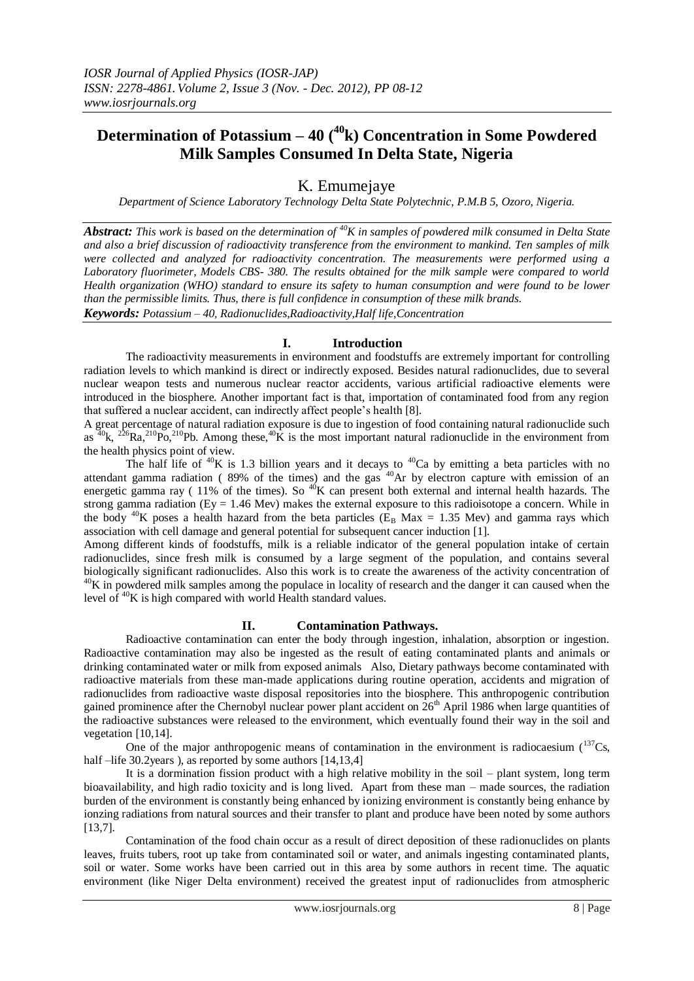# **Determination of Potassium – 40 (<sup>40</sup>k) Concentration in Some Powdered Milk Samples Consumed In Delta State, Nigeria**

## K. Emumejaye

*Department of Science Laboratory Technology Delta State Polytechnic, P.M.B 5, Ozoro, Nigeria.*

*Abstract: This work is based on the determination of <sup>40</sup>K in samples of powdered milk consumed in Delta State and also a brief discussion of radioactivity transference from the environment to mankind. Ten samples of milk were collected and analyzed for radioactivity concentration. The measurements were performed using a Laboratory fluorimeter, Models CBS- 380. The results obtained for the milk sample were compared to world Health organization (WHO) standard to ensure its safety to human consumption and were found to be lower than the permissible limits. Thus, there is full confidence in consumption of these milk brands. Keywords: Potassium – 40, Radionuclides,Radioactivity,Half life,Concentration*

### **I. Introduction**

The radioactivity measurements in environment and foodstuffs are extremely important for controlling radiation levels to which mankind is direct or indirectly exposed. Besides natural radionuclides, due to several nuclear weapon tests and numerous nuclear reactor accidents, various artificial radioactive elements were introduced in the biosphere. Another important fact is that, importation of contaminated food from any region that suffered a nuclear accident, can indirectly affect people's health [8].

A great percentage of natural radiation exposure is due to ingestion of food containing natural radionuclide such as  $^{40}$ k,  $^{226}$ Ra,  $^{210}$ Po,  $^{210}$ Pb. Among these,  $^{40}$ K is the most important natural radionuclide in the environment from the health physics point of view.

The half life of  $40K$  is 1.3 billion years and it decays to  $40Ca$  by emitting a beta particles with no attendant gamma radiation ( $89\%$  of the times) and the gas  $40$ Ar by electron capture with emission of an energetic gamma ray (  $11\%$  of the times). So  $^{40}$ K can present both external and internal health hazards. The strong gamma radiation ( $Ey = 1.46$  Mev) makes the external exposure to this radioisotope a concern. While in the body <sup>40</sup>K poses a health hazard from the beta particles ( $E_B$  Max = 1.35 Mev) and gamma rays which association with cell damage and general potential for subsequent cancer induction [1].

Among different kinds of foodstuffs, milk is a reliable indicator of the general population intake of certain radionuclides, since fresh milk is consumed by a large segment of the population, and contains several biologically significant radionuclides. Also this work is to create the awareness of the activity concentration of  $^{40}$ K in powdered milk samples among the populace in locality of research and the danger it can caused when the level of  $40K$  is high compared with world Health standard values.

### **II. Contamination Pathways.**

Radioactive contamination can enter the body through ingestion, inhalation, absorption or ingestion. Radioactive contamination may also be ingested as the result of eating contaminated plants and animals or drinking contaminated water or milk from exposed animals Also, Dietary pathways become contaminated with radioactive materials from these man-made applications during routine operation, accidents and migration of radionuclides from radioactive waste disposal repositories into the biosphere. This anthropogenic contribution gained prominence after the Chernobyl nuclear power plant accident on  $26<sup>th</sup>$  April 1986 when large quantities of the radioactive substances were released to the environment, which eventually found their way in the soil and vegetation [10,14].

One of the major anthropogenic means of contamination in the environment is radiocaesium  $(^{137}Cs$ , half –life 30.2years), as reported by some authors [14,13,4]

It is a dormination fission product with a high relative mobility in the soil – plant system, long term bioavailability, and high radio toxicity and is long lived. Apart from these man – made sources, the radiation burden of the environment is constantly being enhanced by ionizing environment is constantly being enhance by ionzing radiations from natural sources and their transfer to plant and produce have been noted by some authors [13,7].

Contamination of the food chain occur as a result of direct deposition of these radionuclides on plants leaves, fruits tubers, root up take from contaminated soil or water, and animals ingesting contaminated plants, soil or water. Some works have been carried out in this area by some authors in recent time. The aquatic environment (like Niger Delta environment) received the greatest input of radionuclides from atmospheric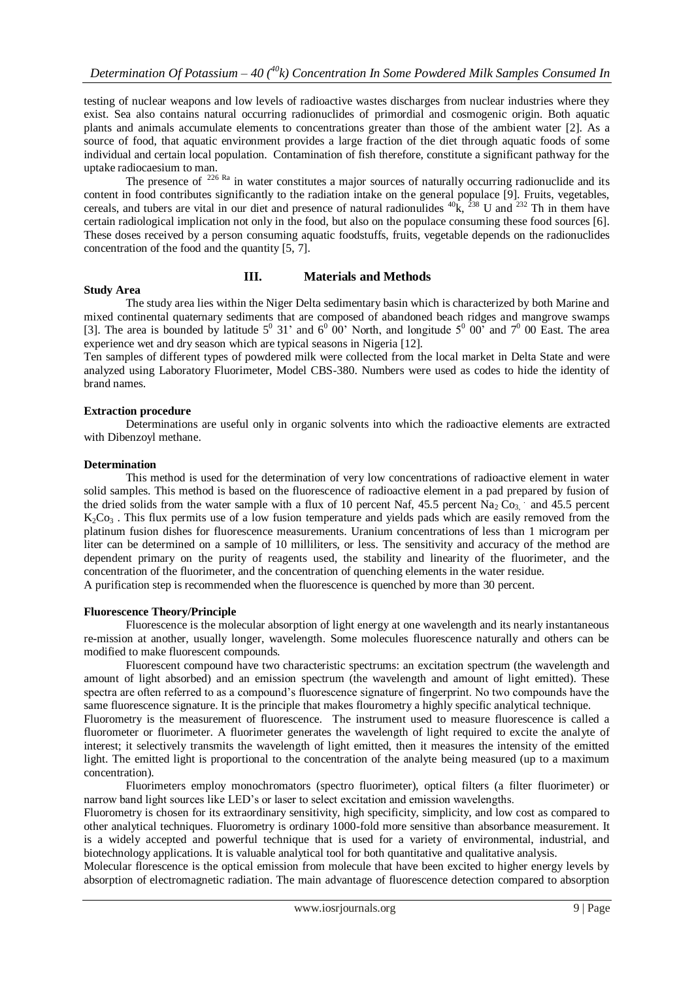testing of nuclear weapons and low levels of radioactive wastes discharges from nuclear industries where they exist. Sea also contains natural occurring radionuclides of primordial and cosmogenic origin. Both aquatic plants and animals accumulate elements to concentrations greater than those of the ambient water [2]. As a source of food, that aquatic environment provides a large fraction of the diet through aquatic foods of some individual and certain local population. Contamination of fish therefore, constitute a significant pathway for the uptake radiocaesium to man.

The presence of  $226$  Ra in water constitutes a major sources of naturally occurring radionuclide and its content in food contributes significantly to the radiation intake on the general populace [9]. Fruits, vegetables, cereals, and tubers are vital in our diet and presence of natural radionulides  ${}^{40}$ k,  ${}^{238}$  U and  ${}^{232}$  Th in them have certain radiological implication not only in the food, but also on the populace consuming these food sources [6]. These doses received by a person consuming aquatic foodstuffs, fruits, vegetable depends on the radionuclides concentration of the food and the quantity [5, 7].

### **III. Materials and Methods**

### **Study Area**

The study area lies within the Niger Delta sedimentary basin which is characterized by both Marine and mixed continental quaternary sediments that are composed of abandoned beach ridges and mangrove swamps [3]. The area is bounded by latitude  $5^{\circ}$  31' and  $6^{\circ}$  00' North, and longitude  $5^{\circ}$  00' and  $7^{\circ}$  00 East. The area experience wet and dry season which are typical seasons in Nigeria [12].

Ten samples of different types of powdered milk were collected from the local market in Delta State and were analyzed using Laboratory Fluorimeter, Model CBS-380. Numbers were used as codes to hide the identity of brand names.

### **Extraction procedure**

Determinations are useful only in organic solvents into which the radioactive elements are extracted with Dibenzoyl methane.

### **Determination**

concentration).

This method is used for the determination of very low concentrations of radioactive element in water solid samples. This method is based on the fluorescence of radioactive element in a pad prepared by fusion of the dried solids from the water sample with a flux of 10 percent Naf, 45.5 percent Na<sub>2</sub> C<sub>O3</sub>, and 45.5 percent  $K_2Co_3$ . This flux permits use of a low fusion temperature and yields pads which are easily removed from the platinum fusion dishes for fluorescence measurements. Uranium concentrations of less than 1 microgram per liter can be determined on a sample of 10 milliliters, or less. The sensitivity and accuracy of the method are dependent primary on the purity of reagents used, the stability and linearity of the fluorimeter, and the concentration of the fluorimeter, and the concentration of quenching elements in the water residue. A purification step is recommended when the fluorescence is quenched by more than 30 percent.

### **Fluorescence Theory/Principle**

Fluorescence is the molecular absorption of light energy at one wavelength and its nearly instantaneous re-mission at another, usually longer, wavelength. Some molecules fluorescence naturally and others can be modified to make fluorescent compounds.

Fluorescent compound have two characteristic spectrums: an excitation spectrum (the wavelength and amount of light absorbed) and an emission spectrum (the wavelength and amount of light emitted). These spectra are often referred to as a compound's fluorescence signature of fingerprint. No two compounds have the same fluorescence signature. It is the principle that makes flourometry a highly specific analytical technique. Fluorometry is the measurement of fluorescence. The instrument used to measure fluorescence is called a fluorometer or fluorimeter. A fluorimeter generates the wavelength of light required to excite the analyte of interest; it selectively transmits the wavelength of light emitted, then it measures the intensity of the emitted light. The emitted light is proportional to the concentration of the analyte being measured (up to a maximum

Fluorimeters employ monochromators (spectro fluorimeter), optical filters (a filter fluorimeter) or narrow band light sources like LED's or laser to select excitation and emission wavelengths.

Fluorometry is chosen for its extraordinary sensitivity, high specificity, simplicity, and low cost as compared to other analytical techniques. Fluorometry is ordinary 1000-fold more sensitive than absorbance measurement. It is a widely accepted and powerful technique that is used for a variety of environmental, industrial, and biotechnology applications. It is valuable analytical tool for both quantitative and qualitative analysis.

Molecular florescence is the optical emission from molecule that have been excited to higher energy levels by absorption of electromagnetic radiation. The main advantage of fluorescence detection compared to absorption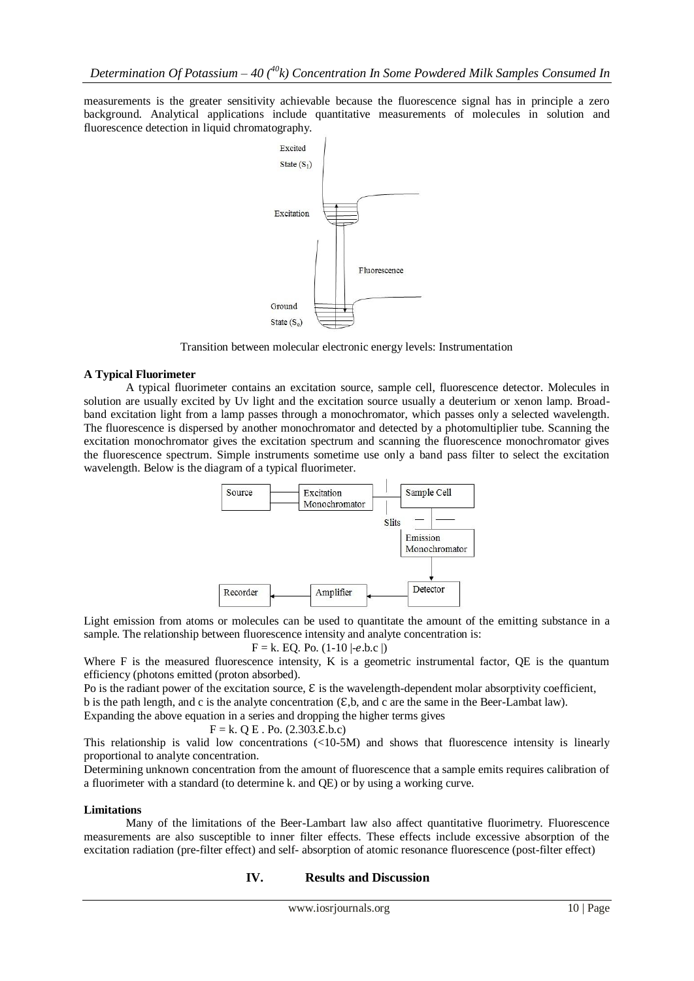measurements is the greater sensitivity achievable because the fluorescence signal has in principle a zero background. Analytical applications include quantitative measurements of molecules in solution and fluorescence detection in liquid chromatography.



Transition between molecular electronic energy levels: Instrumentation

### **A Typical Fluorimeter**

A typical fluorimeter contains an excitation source, sample cell, fluorescence detector. Molecules in solution are usually excited by Uv light and the excitation source usually a deuterium or xenon lamp. Broadband excitation light from a lamp passes through a monochromator, which passes only a selected wavelength. The fluorescence is dispersed by another monochromator and detected by a photomultiplier tube. Scanning the excitation monochromator gives the excitation spectrum and scanning the fluorescence monochromator gives the fluorescence spectrum. Simple instruments sometime use only a band pass filter to select the excitation wavelength. Below is the diagram of a typical fluorimeter.



Light emission from atoms or molecules can be used to quantitate the amount of the emitting substance in a sample. The relationship between fluorescence intensity and analyte concentration is:

$$
F = k
$$
. EQ. Po. (1-10 |-e.b.c |)

Where F is the measured fluorescence intensity, K is a geometric instrumental factor, QE is the quantum efficiency (photons emitted (proton absorbed).

Po is the radiant power of the excitation source,  $\epsilon$  is the wavelength-dependent molar absorptivity coefficient, b is the path length, and c is the analyte concentration  $(\mathcal{E}, b)$ , and c are the same in the Beer-Lambat law). Expanding the above

 $F = k$ . Q E . Po. (2.303. E.b.c) This relationship is valid low concentrations (<10-5M) and shows that fluorescence intensity is linearly proportional to analyte concentration.

Determining unknown concentration from the amount of fluorescence that a sample emits requires calibration of a fluorimeter with a standard (to determine k. and QE) or by using a working curve.

### **Limitations**

Many of the limitations of the Beer-Lambart law also affect quantitative fluorimetry. Fluorescence measurements are also susceptible to inner filter effects. These effects include excessive absorption of the excitation radiation (pre-filter effect) and self- absorption of atomic resonance fluorescence (post-filter effect)

### **IV. Results and Discussion**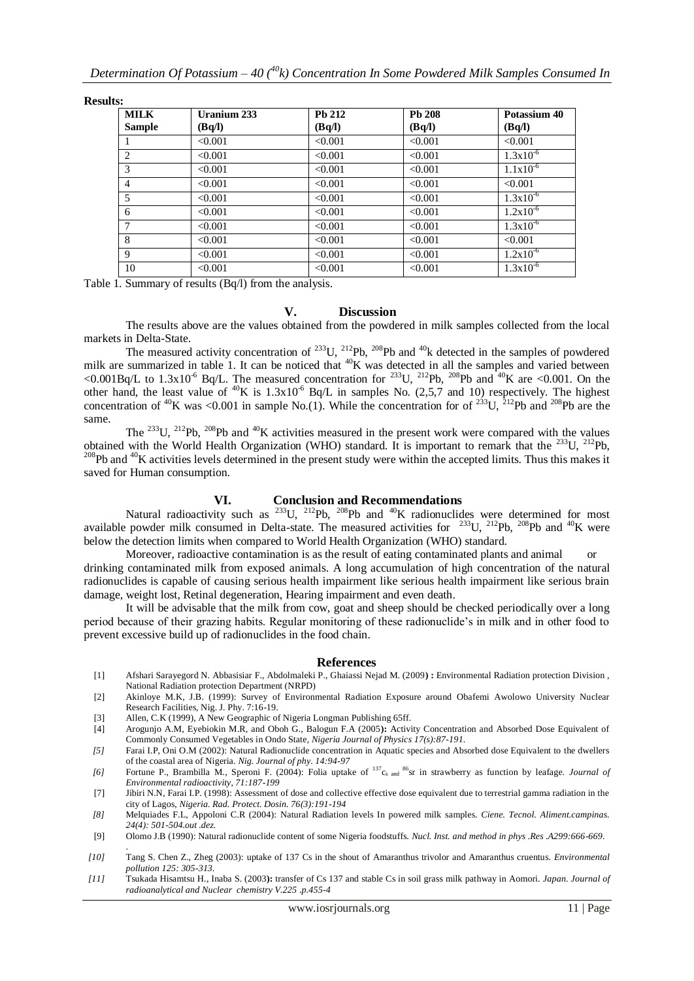| <b>MILK</b><br><b>Sample</b> | <b>Uranium 233</b><br>(Bq/l) | Pb 212<br>(Bq/l) | Pb 208<br>(Bq/l) | Potassium 40<br>(Bq/l) |
|------------------------------|------------------------------|------------------|------------------|------------------------|
|                              | < 0.001                      | < 0.001          | < 0.001          | < 0.001                |
| $\overline{c}$               | < 0.001                      | < 0.001          | < 0.001          | $1.3x10^{-6}$          |
| 3                            | < 0.001                      | < 0.001          | < 0.001          | $1.1x10^{-6}$          |
| $\overline{4}$               | < 0.001                      | < 0.001          | < 0.001          | < 0.001                |
| 5                            | < 0.001                      | < 0.001          | < 0.001          | $1.3x10^{-6}$          |
| 6                            | < 0.001                      | < 0.001          | < 0.001          | $1.2x10^{-6}$          |
| 7                            | < 0.001                      | < 0.001          | < 0.001          | $1.3x10^{-6}$          |
| 8                            | < 0.001                      | < 0.001          | < 0.001          | < 0.001                |
| 9                            | < 0.001                      | < 0.001          | < 0.001          | $1.2x10^{-6}$          |
| 10                           | < 0.001                      | < 0.001          | < 0.001          | $1.3x10^{-6}$          |

Table 1. Summary of results (Bq/l) from the analysis.

### **V. Discussion**

The results above are the values obtained from the powdered in milk samples collected from the local markets in Delta-State.

The measured activity concentration of  $^{233}$ U,  $^{212}$ Pb,  $^{208}$ Pb and  $^{40}$ k detected in the samples of powdered milk are summarized in table 1. It can be noticed that  ${}^{40}K$  was detected in all the samples and varied between <0.001Bq/L to 1.3x10<sup>-6</sup> Bq/L. The measured concentration for <sup>233</sup>U, <sup>212</sup>Pb, <sup>208</sup>Pb and <sup>40</sup>K are <0.001. On the other hand, the least value of <sup>40</sup>K is  $1.3x10^{-6}$  Bq/L in samples No. (2,5,7 and 10) respectively. The highest concentration of  ${}^{40}$ K was <0.001 in sample No.(1). While the concentration for of  ${}^{233}$ U,  ${}^{212}$ Pb and  ${}^{208}$ Pb are the same.

The  $^{233}$ U,  $^{212}$ Pb,  $^{208}$ Pb and  $^{40}$ K activities measured in the present work were compared with the values obtained with the World Health Organization (WHO) standard. It is important to remark that the  $^{233}$ U,  $^{212}$ Pb,  $^{208}$ Pb and  $^{40}$ K activities levels determined in the present study were within the accepted limits. Thus this makes it saved for Human consumption.

### **VI. Conclusion and Recommendations**

Natural radioactivity such as  $^{233}$ U,  $^{212}$ Pb,  $^{208}$ Pb and  $^{40}$ K radionuclides were determined for most available powder milk consumed in Delta-state. The measured activities for  $^{233}$ U,  $^{212}$ Pb,  $^{208}$ Pb and  $^{40}$ K were below the detection limits when compared to World Health Organization (WHO) standard.

Moreover, radioactive contamination is as the result of eating contaminated plants and animal or drinking contaminated milk from exposed animals. A long accumulation of high concentration of the natural radionuclides is capable of causing serious health impairment like serious health impairment like serious brain damage, weight lost, Retinal degeneration, Hearing impairment and even death.

It will be advisable that the milk from cow, goat and sheep should be checked periodically over a long period because of their grazing habits. Regular monitoring of these radionuclide's in milk and in other food to prevent excessive build up of radionuclides in the food chain.

#### **References**

- [1] Afshari Sarayegord N. Abbasisiar F., Abdolmaleki P., Ghaiassi Nejad M. (2009**) :** Environmental Radiation protection Division , National Radiation protection Department (NRPD)
- [2] Akinloye M.K, J.B. (1999): Survey of Environmental Radiation Exposure around Obafemi Awolowo University Nuclear Research Facilities, Nig. J. Phy. 7:16-19.
- [3] Allen, C.K (1999), A New Geographic of Nigeria Longman Publishing 65ff.
- [4] Arogunjo A.M, Eyebiokin M.R, and Oboh G., Balogun F.A (2005**):** Activity Concentration and Absorbed Dose Equivalent of Commonly Consumed Vegetables in Ondo State*, Nigeria Journal of Physics 17(s):87-191.*
- *[5]* Farai I.P, Oni O.M (2002): Natural Radionuclide concentration in Aquatic species and Absorbed dose Equivalent to the dwellers of the coastal area of Nigeria. *Nig. Journal of phy. 14:94-97*
- *[6]* Fortune P., Brambilla M., Speroni F. (2004): Folia uptake of <sup>137</sup>cs and <sup>86</sup>sr in strawberry as function by leafage. *Journal of Environmental radioactivity, 71:187-199*
- [7] Jibiri N.N, Farai I.P. (1998): Assessment of dose and collective effective dose equivalent due to terrestrial gamma radiation in the city of Lagos, *Nigeria. Rad. Protect. Dosin. 76(3):191-194*
- *[8]* Melquiades F.L, Appoloni C.R (2004): Natural Radiation levels In powered milk samples*. Ciene. Tecnol. Aliment.campinas.*   $24(4) \cdot 501 - 504$  out  $\det^{-1}$
- [9] Olomo J.B (1990): Natural radionuclide content of some Nigeria foodstuffs. *Nucl. Inst. and method in phys .Res .A299:666-669*. .
- *[10]* Tang S. Chen Z., Zheg (2003): uptake of 137 Cs in the shout of Amaranthus trivolor and Amaranthus cruentus*. Environmental pollution 125: 305-313.*
- *[11]* Tsukada Hisamtsu H., Inaba S. (2003**):** transfer of Cs 137 and stable Cs in soil grass milk pathway in Aomori. *Japan. Journal of radioanalytical and Nuclear chemistry V.225 .p.455-4*